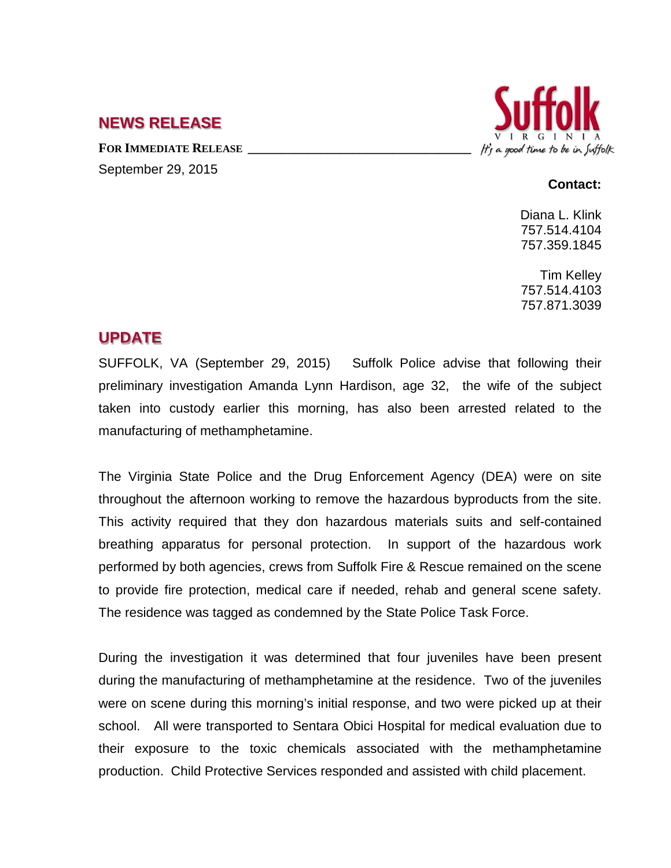## **NEWS RELEASE**

FOR **IMMEDIATE RELEASE** September 29, 2015



## **Contact:**

Diana L. Klink 757.514.4104 757.359.1845

Tim Kelley 757.514.4103 757.871.3039

## **UPDATE**

SUFFOLK, VA (September 29, 2015) Suffolk Police advise that following their preliminary investigation Amanda Lynn Hardison, age 32, the wife of the subject taken into custody earlier this morning, has also been arrested related to the manufacturing of methamphetamine.

The Virginia State Police and the Drug Enforcement Agency (DEA) were on site throughout the afternoon working to remove the hazardous byproducts from the site. This activity required that they don hazardous materials suits and self-contained breathing apparatus for personal protection. In support of the hazardous work performed by both agencies, crews from Suffolk Fire & Rescue remained on the scene to provide fire protection, medical care if needed, rehab and general scene safety. The residence was tagged as condemned by the State Police Task Force.

During the investigation it was determined that four juveniles have been present during the manufacturing of methamphetamine at the residence. Two of the juveniles were on scene during this morning's initial response, and two were picked up at their school. All were transported to Sentara Obici Hospital for medical evaluation due to their exposure to the toxic chemicals associated with the methamphetamine production. Child Protective Services responded and assisted with child placement.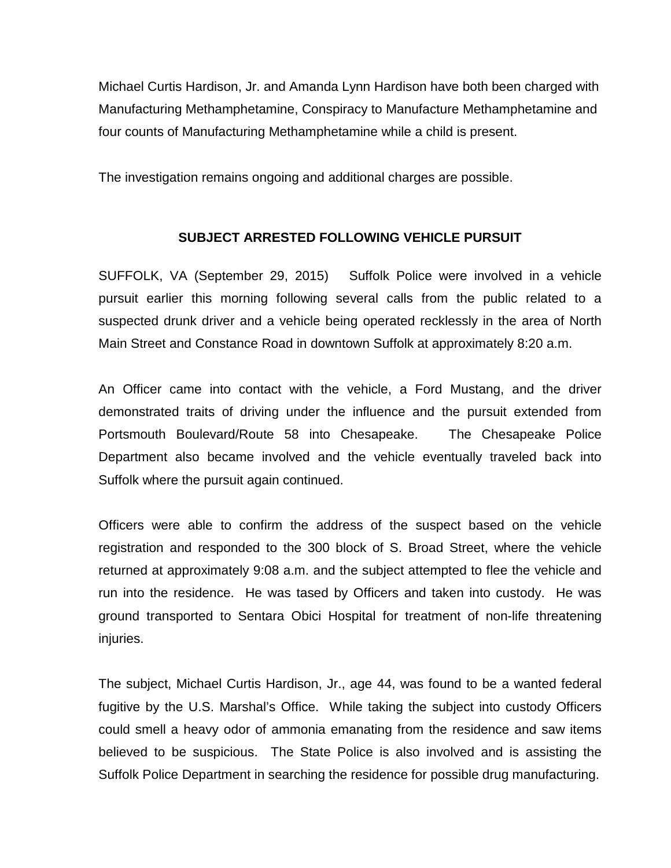Michael Curtis Hardison, Jr. and Amanda Lynn Hardison have both been charged with Manufacturing Methamphetamine, Conspiracy to Manufacture Methamphetamine and four counts of Manufacturing Methamphetamine while a child is present.

The investigation remains ongoing and additional charges are possible.

## **SUBJECT ARRESTED FOLLOWING VEHICLE PURSUIT**

SUFFOLK, VA (September 29, 2015) Suffolk Police were involved in a vehicle pursuit earlier this morning following several calls from the public related to a suspected drunk driver and a vehicle being operated recklessly in the area of North Main Street and Constance Road in downtown Suffolk at approximately 8:20 a.m.

An Officer came into contact with the vehicle, a Ford Mustang, and the driver demonstrated traits of driving under the influence and the pursuit extended from Portsmouth Boulevard/Route 58 into Chesapeake. The Chesapeake Police Department also became involved and the vehicle eventually traveled back into Suffolk where the pursuit again continued.

Officers were able to confirm the address of the suspect based on the vehicle registration and responded to the 300 block of S. Broad Street, where the vehicle returned at approximately 9:08 a.m. and the subject attempted to flee the vehicle and run into the residence. He was tased by Officers and taken into custody. He was ground transported to Sentara Obici Hospital for treatment of non-life threatening injuries.

The subject, Michael Curtis Hardison, Jr., age 44, was found to be a wanted federal fugitive by the U.S. Marshal's Office. While taking the subject into custody Officers could smell a heavy odor of ammonia emanating from the residence and saw items believed to be suspicious. The State Police is also involved and is assisting the Suffolk Police Department in searching the residence for possible drug manufacturing.